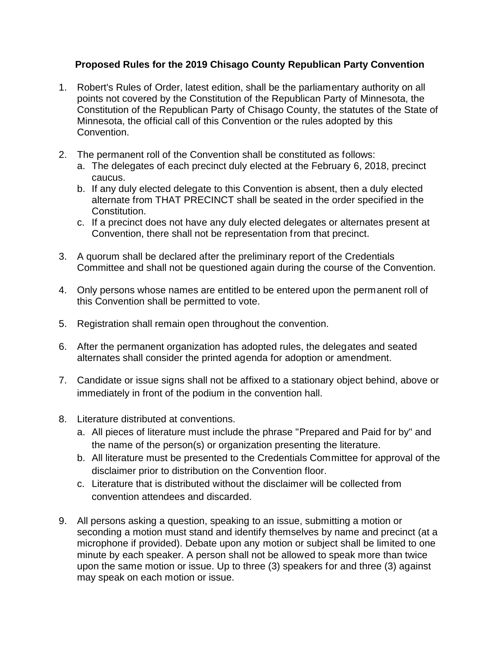## **Proposed Rules for the 2019 Chisago County Republican Party Convention**

- 1. Robert's Rules of Order, latest edition, shall be the parliamentary authority on all points not covered by the Constitution of the Republican Party of Minnesota, the Constitution of the Republican Party of Chisago County, the statutes of the State of Minnesota, the official call of this Convention or the rules adopted by this Convention.
- 2. The permanent roll of the Convention shall be constituted as follows:
	- a. The delegates of each precinct duly elected at the February 6, 2018, precinct caucus.
	- b. If any duly elected delegate to this Convention is absent, then a duly elected alternate from THAT PRECINCT shall be seated in the order specified in the Constitution.
	- c. If a precinct does not have any duly elected delegates or alternates present at Convention, there shall not be representation from that precinct.
- 3. A quorum shall be declared after the preliminary report of the Credentials Committee and shall not be questioned again during the course of the Convention.
- 4. Only persons whose names are entitled to be entered upon the permanent roll of this Convention shall be permitted to vote.
- 5. Registration shall remain open throughout the convention.
- 6. After the permanent organization has adopted rules, the delegates and seated alternates shall consider the printed agenda for adoption or amendment.
- 7. Candidate or issue signs shall not be affixed to a stationary object behind, above or immediately in front of the podium in the convention hall.
- 8. Literature distributed at conventions.
	- a. All pieces of literature must include the phrase "Prepared and Paid for by" and the name of the person(s) or organization presenting the literature.
	- b. All literature must be presented to the Credentials Committee for approval of the disclaimer prior to distribution on the Convention floor.
	- c. Literature that is distributed without the disclaimer will be collected from convention attendees and discarded.
- 9. All persons asking a question, speaking to an issue, submitting a motion or seconding a motion must stand and identify themselves by name and precinct (at a microphone if provided). Debate upon any motion or subject shall be limited to one minute by each speaker. A person shall not be allowed to speak more than twice upon the same motion or issue. Up to three (3) speakers for and three (3) against may speak on each motion or issue.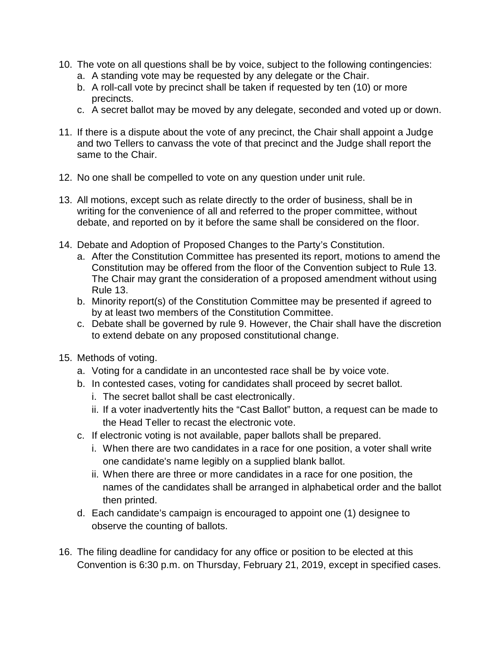- 10. The vote on all questions shall be by voice, subject to the following contingencies:
	- a. A standing vote may be requested by any delegate or the Chair.
	- b. A roll-call vote by precinct shall be taken if requested by ten (10) or more precincts.
	- c. A secret ballot may be moved by any delegate, seconded and voted up or down.
- 11. If there is a dispute about the vote of any precinct, the Chair shall appoint a Judge and two Tellers to canvass the vote of that precinct and the Judge shall report the same to the Chair.
- 12. No one shall be compelled to vote on any question under unit rule.
- 13. All motions, except such as relate directly to the order of business, shall be in writing for the convenience of all and referred to the proper committee, without debate, and reported on by it before the same shall be considered on the floor.
- 14. Debate and Adoption of Proposed Changes to the Party's Constitution.
	- a. After the Constitution Committee has presented its report, motions to amend the Constitution may be offered from the floor of the Convention subject to Rule 13. The Chair may grant the consideration of a proposed amendment without using Rule 13.
	- b. Minority report(s) of the Constitution Committee may be presented if agreed to by at least two members of the Constitution Committee.
	- c. Debate shall be governed by rule 9. However, the Chair shall have the discretion to extend debate on any proposed constitutional change.
- 15. Methods of voting.
	- a. Voting for a candidate in an uncontested race shall be by voice vote.
	- b. In contested cases, voting for candidates shall proceed by secret ballot.
		- i. The secret ballot shall be cast electronically.
		- ii. If a voter inadvertently hits the "Cast Ballot" button, a request can be made to the Head Teller to recast the electronic vote.
	- c. If electronic voting is not available, paper ballots shall be prepared.
		- i. When there are two candidates in a race for one position, a voter shall write one candidate's name legibly on a supplied blank ballot.
		- ii. When there are three or more candidates in a race for one position, the names of the candidates shall be arranged in alphabetical order and the ballot then printed.
	- d. Each candidate's campaign is encouraged to appoint one (1) designee to observe the counting of ballots.
- 16. The filing deadline for candidacy for any office or position to be elected at this Convention is 6:30 p.m. on Thursday, February 21, 2019, except in specified cases.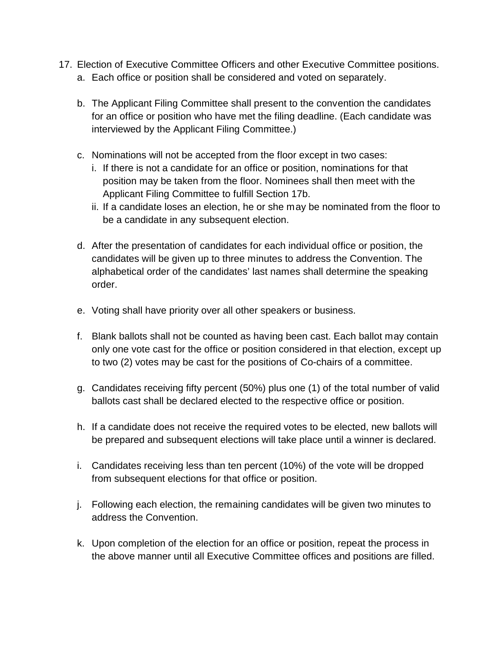- 17. Election of Executive Committee Officers and other Executive Committee positions. a. Each office or position shall be considered and voted on separately.
	- b. The Applicant Filing Committee shall present to the convention the candidates for an office or position who have met the filing deadline. (Each candidate was interviewed by the Applicant Filing Committee.)
	- c. Nominations will not be accepted from the floor except in two cases:
		- i. If there is not a candidate for an office or position, nominations for that position may be taken from the floor. Nominees shall then meet with the Applicant Filing Committee to fulfill Section 17b.
		- ii. If a candidate loses an election, he or she may be nominated from the floor to be a candidate in any subsequent election.
	- d. After the presentation of candidates for each individual office or position, the candidates will be given up to three minutes to address the Convention. The alphabetical order of the candidates' last names shall determine the speaking order.
	- e. Voting shall have priority over all other speakers or business.
	- f. Blank ballots shall not be counted as having been cast. Each ballot may contain only one vote cast for the office or position considered in that election, except up to two (2) votes may be cast for the positions of Co-chairs of a committee.
	- g. Candidates receiving fifty percent (50%) plus one (1) of the total number of valid ballots cast shall be declared elected to the respective office or position.
	- h. If a candidate does not receive the required votes to be elected, new ballots will be prepared and subsequent elections will take place until a winner is declared.
	- i. Candidates receiving less than ten percent (10%) of the vote will be dropped from subsequent elections for that office or position.
	- j. Following each election, the remaining candidates will be given two minutes to address the Convention.
	- k. Upon completion of the election for an office or position, repeat the process in the above manner until all Executive Committee offices and positions are filled.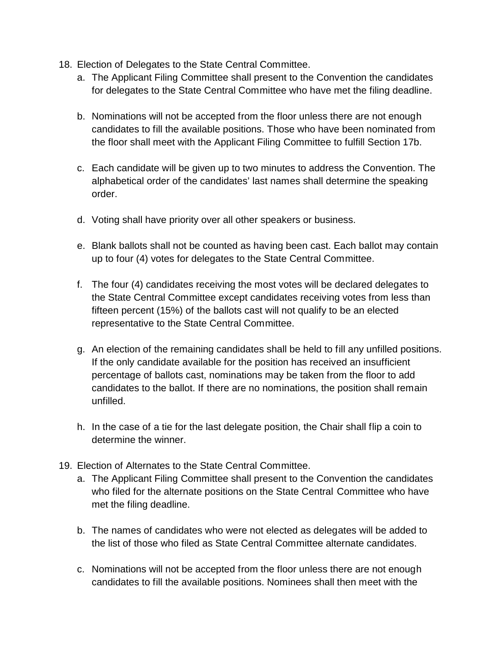- 18. Election of Delegates to the State Central Committee.
	- a. The Applicant Filing Committee shall present to the Convention the candidates for delegates to the State Central Committee who have met the filing deadline.
	- b. Nominations will not be accepted from the floor unless there are not enough candidates to fill the available positions. Those who have been nominated from the floor shall meet with the Applicant Filing Committee to fulfill Section 17b.
	- c. Each candidate will be given up to two minutes to address the Convention. The alphabetical order of the candidates' last names shall determine the speaking order.
	- d. Voting shall have priority over all other speakers or business.
	- e. Blank ballots shall not be counted as having been cast. Each ballot may contain up to four (4) votes for delegates to the State Central Committee.
	- f. The four (4) candidates receiving the most votes will be declared delegates to the State Central Committee except candidates receiving votes from less than fifteen percent (15%) of the ballots cast will not qualify to be an elected representative to the State Central Committee.
	- g. An election of the remaining candidates shall be held to fill any unfilled positions. If the only candidate available for the position has received an insufficient percentage of ballots cast, nominations may be taken from the floor to add candidates to the ballot. If there are no nominations, the position shall remain unfilled.
	- h. In the case of a tie for the last delegate position, the Chair shall flip a coin to determine the winner.
- 19. Election of Alternates to the State Central Committee.
	- a. The Applicant Filing Committee shall present to the Convention the candidates who filed for the alternate positions on the State Central Committee who have met the filing deadline.
	- b. The names of candidates who were not elected as delegates will be added to the list of those who filed as State Central Committee alternate candidates.
	- c. Nominations will not be accepted from the floor unless there are not enough candidates to fill the available positions. Nominees shall then meet with the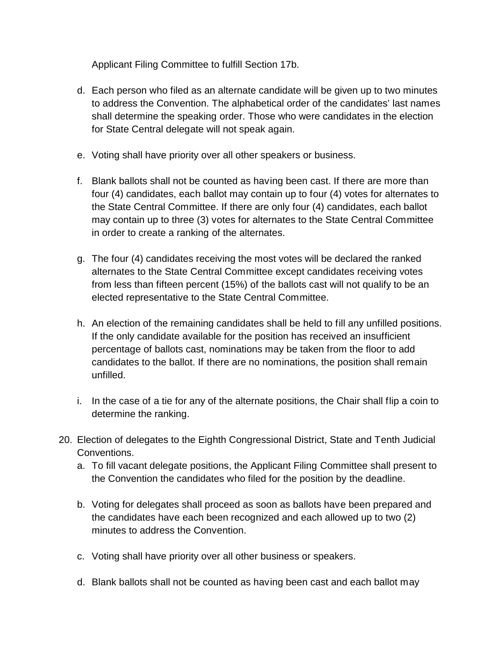Applicant Filing Committee to fulfill Section 17b.

- d. Each person who filed as an alternate candidate will be given up to two minutes to address the Convention. The alphabetical order of the candidates' last names shall determine the speaking order. Those who were candidates in the election for State Central delegate will not speak again.
- e. Voting shall have priority over all other speakers or business.
- f. Blank ballots shall not be counted as having been cast. If there are more than four (4) candidates, each ballot may contain up to four (4) votes for alternates to the State Central Committee. If there are only four (4) candidates, each ballot may contain up to three (3) votes for alternates to the State Central Committee in order to create a ranking of the alternates.
- g. The four (4) candidates receiving the most votes will be declared the ranked alternates to the State Central Committee except candidates receiving votes from less than fifteen percent (15%) of the ballots cast will not qualify to be an elected representative to the State Central Committee.
- h. An election of the remaining candidates shall be held to fill any unfilled positions. If the only candidate available for the position has received an insufficient percentage of ballots cast, nominations may be taken from the floor to add candidates to the ballot. If there are no nominations, the position shall remain unfilled.
- i. In the case of a tie for any of the alternate positions, the Chair shall flip a coin to determine the ranking.
- 20. Election of delegates to the Eighth Congressional District, State and Tenth Judicial Conventions.
	- a. To fill vacant delegate positions, the Applicant Filing Committee shall present to the Convention the candidates who filed for the position by the deadline.
	- b. Voting for delegates shall proceed as soon as ballots have been prepared and the candidates have each been recognized and each allowed up to two (2) minutes to address the Convention.
	- c. Voting shall have priority over all other business or speakers.
	- d. Blank ballots shall not be counted as having been cast and each ballot may